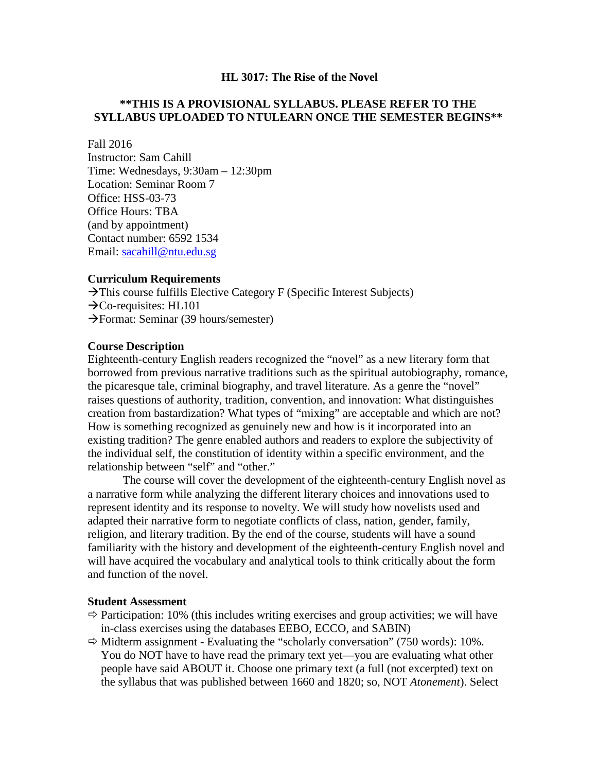#### **HL 3017: The Rise of the Novel**

## **\*\*THIS IS A PROVISIONAL SYLLABUS. PLEASE REFER TO THE SYLLABUS UPLOADED TO NTULEARN ONCE THE SEMESTER BEGINS\*\***

Fall 2016

Instructor: Sam Cahill Time: Wednesdays, 9:30am – 12:30pm Location: Seminar Room 7 Office: HSS-03-73 Office Hours: TBA (and by appointment) Contact number: 6592 1534 Email: [sacahill@ntu.edu.sg](mailto:sacahill@ntu.edu.sg)

### **Curriculum Requirements**

 $\rightarrow$ This course fulfills Elective Category F (Specific Interest Subjects)  $\rightarrow$ Co-requisites: HL101  $\rightarrow$  Format: Seminar (39 hours/semester)

### **Course Description**

Eighteenth-century English readers recognized the "novel" as a new literary form that borrowed from previous narrative traditions such as the spiritual autobiography, romance, the picaresque tale, criminal biography, and travel literature. As a genre the "novel" raises questions of authority, tradition, convention, and innovation: What distinguishes creation from bastardization? What types of "mixing" are acceptable and which are not? How is something recognized as genuinely new and how is it incorporated into an existing tradition? The genre enabled authors and readers to explore the subjectivity of the individual self, the constitution of identity within a specific environment, and the relationship between "self" and "other."

The course will cover the development of the eighteenth-century English novel as a narrative form while analyzing the different literary choices and innovations used to represent identity and its response to novelty. We will study how novelists used and adapted their narrative form to negotiate conflicts of class, nation, gender, family, religion, and literary tradition. By the end of the course, students will have a sound familiarity with the history and development of the eighteenth-century English novel and will have acquired the vocabulary and analytical tools to think critically about the form and function of the novel.

### **Student Assessment**

- $\Rightarrow$  Participation: 10% (this includes writing exercises and group activities; we will have in-class exercises using the databases EEBO, ECCO, and SABIN)
- $\Rightarrow$  Midterm assignment Evaluating the "scholarly conversation" (750 words): 10%. You do NOT have to have read the primary text yet—you are evaluating what other people have said ABOUT it. Choose one primary text (a full (not excerpted) text on the syllabus that was published between 1660 and 1820; so, NOT *Atonement*). Select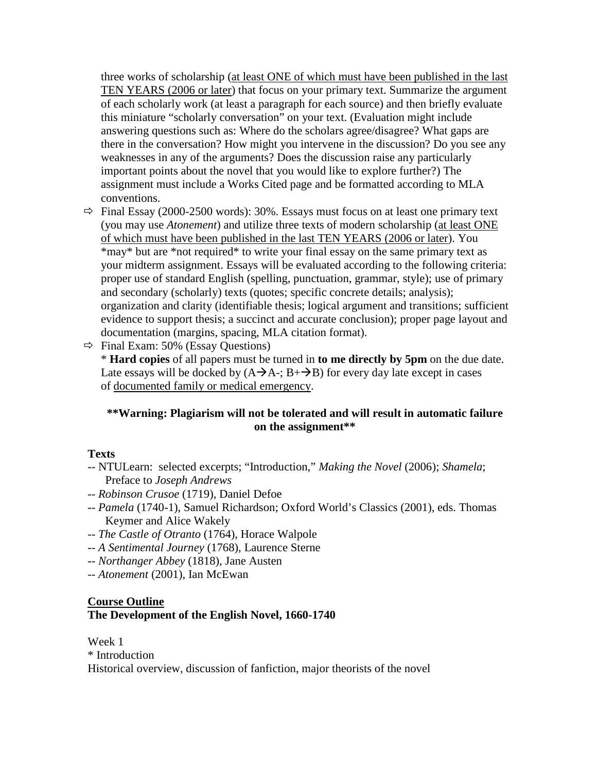three works of scholarship (at least ONE of which must have been published in the last TEN YEARS (2006 or later) that focus on your primary text. Summarize the argument of each scholarly work (at least a paragraph for each source) and then briefly evaluate this miniature "scholarly conversation" on your text. (Evaluation might include answering questions such as: Where do the scholars agree/disagree? What gaps are there in the conversation? How might you intervene in the discussion? Do you see any weaknesses in any of the arguments? Does the discussion raise any particularly important points about the novel that you would like to explore further?) The assignment must include a Works Cited page and be formatted according to MLA conventions.

 $\Rightarrow$  Final Essay (2000-2500 words): 30%. Essays must focus on at least one primary text (you may use *Atonement*) and utilize three texts of modern scholarship (at least ONE of which must have been published in the last TEN YEARS (2006 or later). You \*may\* but are \*not required\* to write your final essay on the same primary text as your midterm assignment. Essays will be evaluated according to the following criteria: proper use of standard English (spelling, punctuation, grammar, style); use of primary and secondary (scholarly) texts (quotes; specific concrete details; analysis); organization and clarity (identifiable thesis; logical argument and transitions; sufficient evidence to support thesis; a succinct and accurate conclusion); proper page layout and documentation (margins, spacing, MLA citation format).

 $\Rightarrow$  Final Exam: 50% (Essay Questions)

\* **Hard copies** of all papers must be turned in **to me directly by 5pm** on the due date. Late essays will be docked by  $(A\rightarrow A^{-}; B^{+}\rightarrow B)$  for every day late except in cases of documented family or medical emergency.

# **\*\*Warning: Plagiarism will not be tolerated and will result in automatic failure on the assignment\*\***

# **Texts**

- *--* NTULearn: selected excerpts; "Introduction," *Making the Novel* (2006); *Shamela*; Preface to *Joseph Andrews*
- -- *Robinson Crusoe* (1719), Daniel Defoe
- *-- Pamela* (1740-1), Samuel Richardson; Oxford World's Classics (2001), eds. Thomas Keymer and Alice Wakely
- *-- The Castle of Otranto* (1764), Horace Walpole
- *-- A Sentimental Journey* (1768), Laurence Sterne
- *-- Northanger Abbey* (1818), Jane Austen
- *-- Atonement* (2001), Ian McEwan

# **Course Outline The Development of the English Novel, 1660-1740**

Week 1 \* Introduction Historical overview, discussion of fanfiction, major theorists of the novel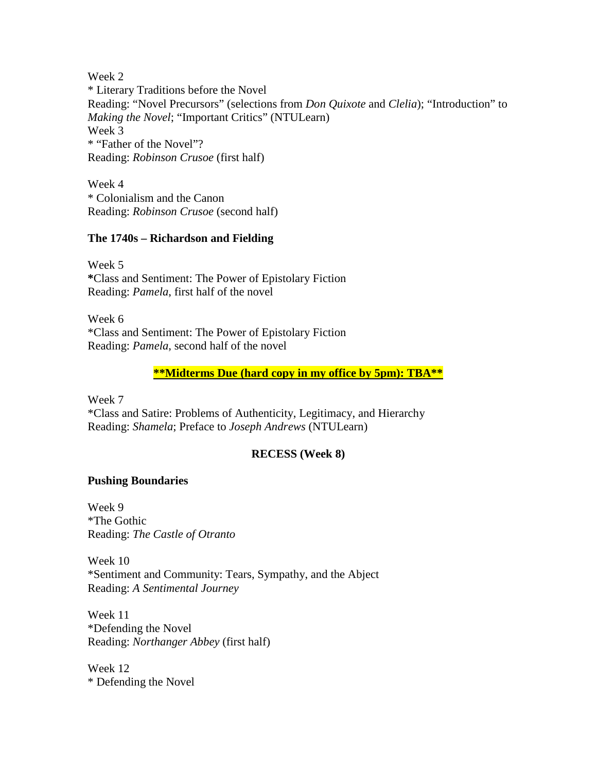Week 2 \* Literary Traditions before the Novel Reading: "Novel Precursors" (selections from *Don Quixote* and *Clelia*); "Introduction" to *Making the Novel*; "Important Critics" (NTULearn) Week 3 \* "Father of the Novel"? Reading: *Robinson Crusoe* (first half)

Week 4 \* Colonialism and the Canon Reading: *Robinson Crusoe* (second half)

## **The 1740s – Richardson and Fielding**

Week 5 **\***Class and Sentiment: The Power of Epistolary Fiction Reading: *Pamela*, first half of the novel

Week 6 \*Class and Sentiment: The Power of Epistolary Fiction Reading: *Pamela*, second half of the novel

## **\*\*Midterms Due (hard copy in my office by 5pm): TBA\*\***

Week 7 \*Class and Satire: Problems of Authenticity, Legitimacy, and Hierarchy Reading: *Shamela*; Preface to *Joseph Andrews* (NTULearn)

### **RECESS (Week 8)**

### **Pushing Boundaries**

Week 9 \*The Gothic Reading: *The Castle of Otranto*

Week 10 \*Sentiment and Community: Tears, Sympathy, and the Abject Reading: *A Sentimental Journey*

Week 11 \*Defending the Novel Reading: *Northanger Abbey* (first half)

Week 12 \* Defending the Novel